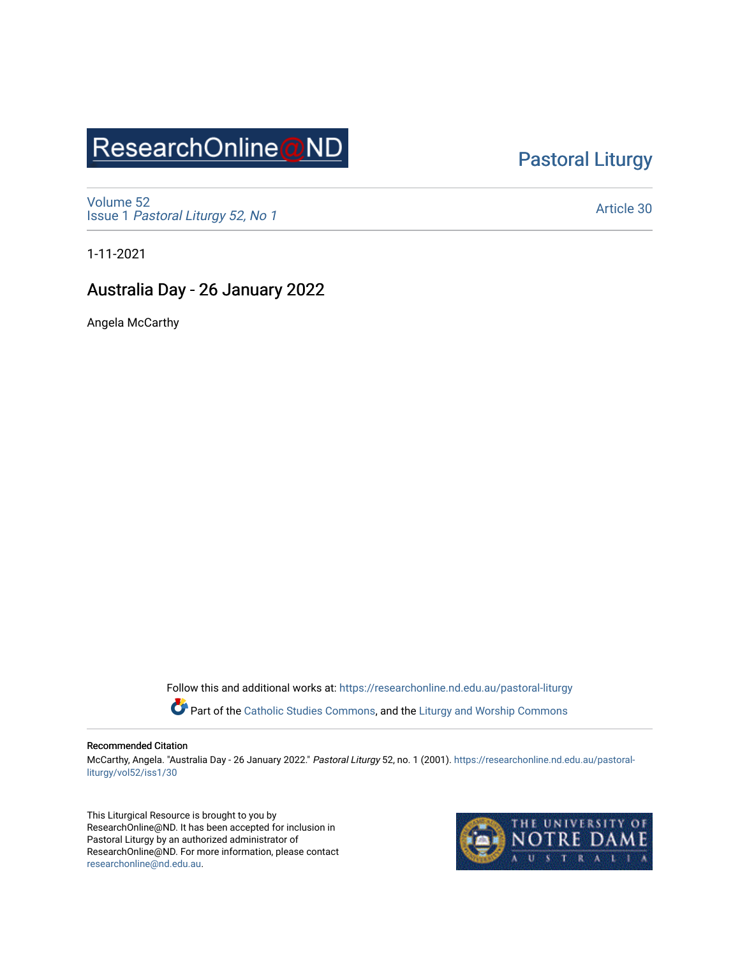## ResearchOnline@ND

### [Pastoral Liturgy](https://researchonline.nd.edu.au/pastoral-liturgy)

[Volume 52](https://researchonline.nd.edu.au/pastoral-liturgy/vol52) Issue 1 [Pastoral Liturgy 52, No 1](https://researchonline.nd.edu.au/pastoral-liturgy/vol52/iss1)

[Article 30](https://researchonline.nd.edu.au/pastoral-liturgy/vol52/iss1/30) 

1-11-2021

### Australia Day - 26 January 2022

Angela McCarthy

Follow this and additional works at: [https://researchonline.nd.edu.au/pastoral-liturgy](https://researchonline.nd.edu.au/pastoral-liturgy?utm_source=researchonline.nd.edu.au%2Fpastoral-liturgy%2Fvol52%2Fiss1%2F30&utm_medium=PDF&utm_campaign=PDFCoverPages)

Part of the [Catholic Studies Commons,](http://network.bepress.com/hgg/discipline/1294?utm_source=researchonline.nd.edu.au%2Fpastoral-liturgy%2Fvol52%2Fiss1%2F30&utm_medium=PDF&utm_campaign=PDFCoverPages) and the Liturgy and Worship Commons

#### Recommended Citation

McCarthy, Angela. "Australia Day - 26 January 2022." Pastoral Liturgy 52, no. 1 (2001). [https://researchonline.nd.edu.au/pastoral](https://researchonline.nd.edu.au/pastoral-liturgy/vol52/iss1/30?utm_source=researchonline.nd.edu.au%2Fpastoral-liturgy%2Fvol52%2Fiss1%2F30&utm_medium=PDF&utm_campaign=PDFCoverPages)[liturgy/vol52/iss1/30](https://researchonline.nd.edu.au/pastoral-liturgy/vol52/iss1/30?utm_source=researchonline.nd.edu.au%2Fpastoral-liturgy%2Fvol52%2Fiss1%2F30&utm_medium=PDF&utm_campaign=PDFCoverPages) 

This Liturgical Resource is brought to you by ResearchOnline@ND. It has been accepted for inclusion in Pastoral Liturgy by an authorized administrator of ResearchOnline@ND. For more information, please contact [researchonline@nd.edu.au.](mailto:researchonline@nd.edu.au)

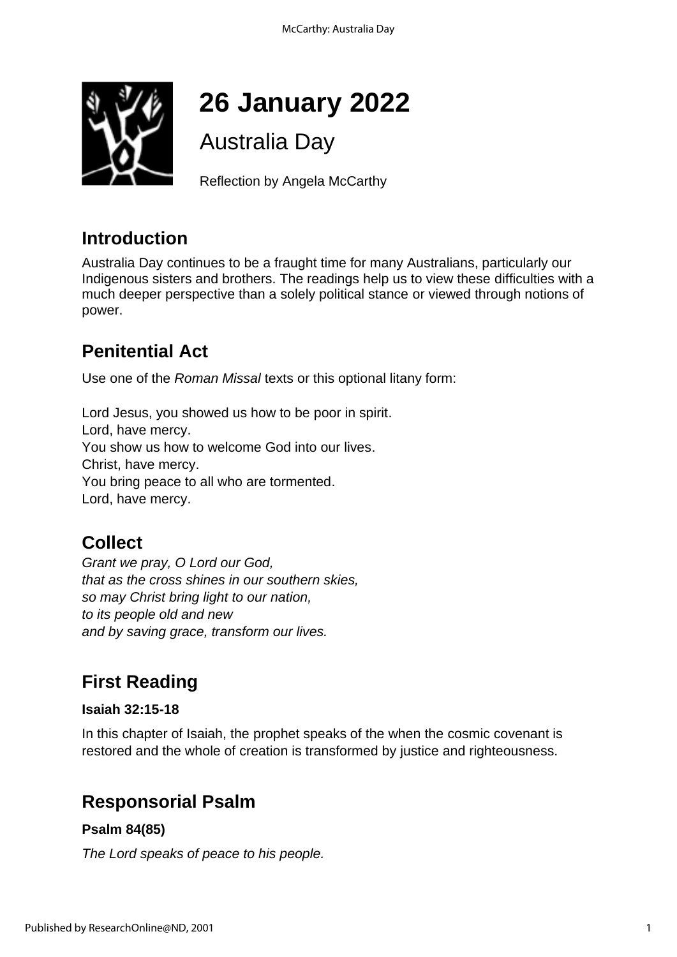

# **26 January 2022**

Australia Day

Reflection by Angela McCarthy

## **Introduction**

Australia Day continues to be a fraught time for many Australians, particularly our Indigenous sisters and brothers. The readings help us to view these difficulties with a much deeper perspective than a solely political stance or viewed through notions of power.

## **Penitential Act**

Use one of the *Roman Missal* texts or this optional litany form:

Lord Jesus, you showed us how to be poor in spirit. Lord, have mercy. You show us how to welcome God into our lives. Christ, have mercy. You bring peace to all who are tormented. Lord, have mercy.

## **Collect**

*Grant we pray, O Lord our God, that as the cross shines in our southern skies, so may Christ bring light to our nation, to its people old and new and by saving grace, transform our lives.*

## **First Reading**

### **Isaiah 32:15-18**

In this chapter of Isaiah, the prophet speaks of the when the cosmic covenant is restored and the whole of creation is transformed by justice and righteousness.

## **Responsorial Psalm**

### **Psalm 84(85)**

*The Lord speaks of peace to his people.*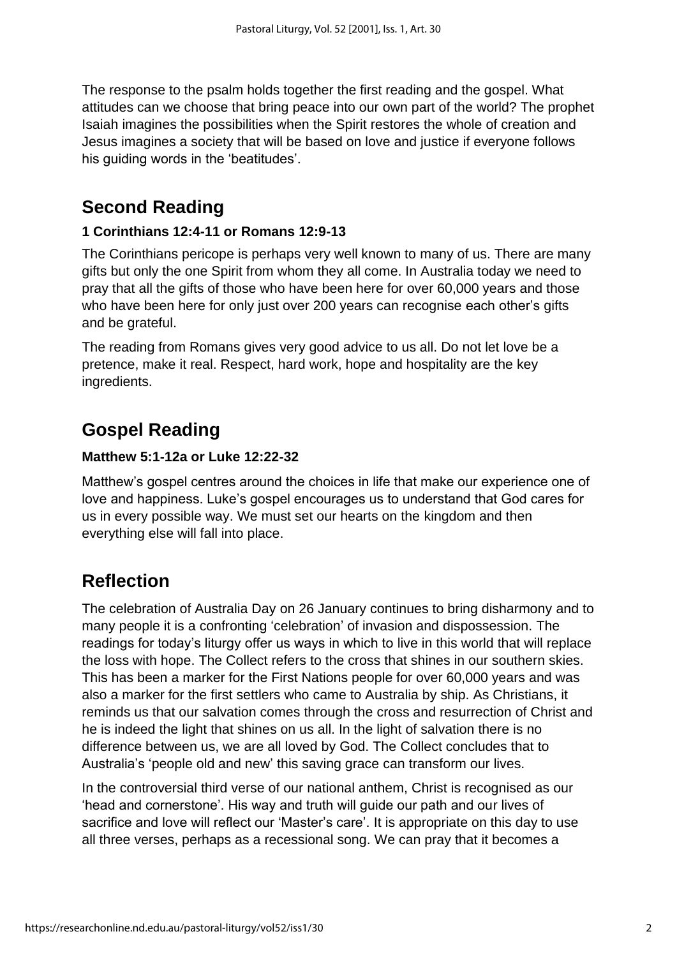The response to the psalm holds together the first reading and the gospel. What attitudes can we choose that bring peace into our own part of the world? The prophet Isaiah imagines the possibilities when the Spirit restores the whole of creation and Jesus imagines a society that will be based on love and justice if everyone follows his guiding words in the 'beatitudes'.

## **Second Reading**

### **1 Corinthians 12:4-11 or Romans 12:9-13**

The Corinthians pericope is perhaps very well known to many of us. There are many gifts but only the one Spirit from whom they all come. In Australia today we need to pray that all the gifts of those who have been here for over 60,000 years and those who have been here for only just over 200 years can recognise each other's gifts and be grateful.

The reading from Romans gives very good advice to us all. Do not let love be a pretence, make it real. Respect, hard work, hope and hospitality are the key ingredients.

## **Gospel Reading**

### **Matthew 5:1-12a or Luke 12:22-32**

Matthew's gospel centres around the choices in life that make our experience one of love and happiness. Luke's gospel encourages us to understand that God cares for us in every possible way. We must set our hearts on the kingdom and then everything else will fall into place.

## **Reflection**

The celebration of Australia Day on 26 January continues to bring disharmony and to many people it is a confronting 'celebration' of invasion and dispossession. The readings for today's liturgy offer us ways in which to live in this world that will replace the loss with hope. The Collect refers to the cross that shines in our southern skies. This has been a marker for the First Nations people for over 60,000 years and was also a marker for the first settlers who came to Australia by ship. As Christians, it reminds us that our salvation comes through the cross and resurrection of Christ and he is indeed the light that shines on us all. In the light of salvation there is no difference between us, we are all loved by God. The Collect concludes that to Australia's 'people old and new' this saving grace can transform our lives.

In the controversial third verse of our national anthem, Christ is recognised as our 'head and cornerstone'. His way and truth will guide our path and our lives of sacrifice and love will reflect our 'Master's care'. It is appropriate on this day to use all three verses, perhaps as a recessional song. We can pray that it becomes a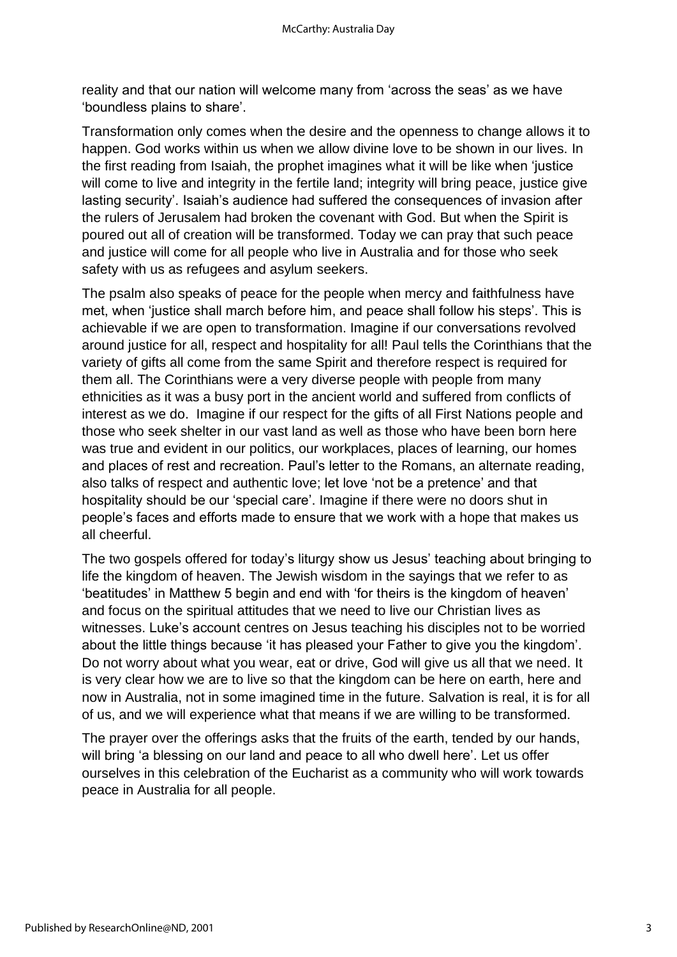reality and that our nation will welcome many from 'across the seas' as we have 'boundless plains to share'.

Transformation only comes when the desire and the openness to change allows it to happen. God works within us when we allow divine love to be shown in our lives. In the first reading from Isaiah, the prophet imagines what it will be like when 'justice will come to live and integrity in the fertile land; integrity will bring peace, justice give lasting security'. Isaiah's audience had suffered the consequences of invasion after the rulers of Jerusalem had broken the covenant with God. But when the Spirit is poured out all of creation will be transformed. Today we can pray that such peace and justice will come for all people who live in Australia and for those who seek safety with us as refugees and asylum seekers.

The psalm also speaks of peace for the people when mercy and faithfulness have met, when 'justice shall march before him, and peace shall follow his steps'. This is achievable if we are open to transformation. Imagine if our conversations revolved around justice for all, respect and hospitality for all! Paul tells the Corinthians that the variety of gifts all come from the same Spirit and therefore respect is required for them all. The Corinthians were a very diverse people with people from many ethnicities as it was a busy port in the ancient world and suffered from conflicts of interest as we do. Imagine if our respect for the gifts of all First Nations people and those who seek shelter in our vast land as well as those who have been born here was true and evident in our politics, our workplaces, places of learning, our homes and places of rest and recreation. Paul's letter to the Romans, an alternate reading, also talks of respect and authentic love; let love 'not be a pretence' and that hospitality should be our 'special care'. Imagine if there were no doors shut in people's faces and efforts made to ensure that we work with a hope that makes us all cheerful.

The two gospels offered for today's liturgy show us Jesus' teaching about bringing to life the kingdom of heaven. The Jewish wisdom in the sayings that we refer to as 'beatitudes' in Matthew 5 begin and end with 'for theirs is the kingdom of heaven' and focus on the spiritual attitudes that we need to live our Christian lives as witnesses. Luke's account centres on Jesus teaching his disciples not to be worried about the little things because 'it has pleased your Father to give you the kingdom'. Do not worry about what you wear, eat or drive, God will give us all that we need. It is very clear how we are to live so that the kingdom can be here on earth, here and now in Australia, not in some imagined time in the future. Salvation is real, it is for all of us, and we will experience what that means if we are willing to be transformed.

The prayer over the offerings asks that the fruits of the earth, tended by our hands, will bring 'a blessing on our land and peace to all who dwell here'. Let us offer ourselves in this celebration of the Eucharist as a community who will work towards peace in Australia for all people.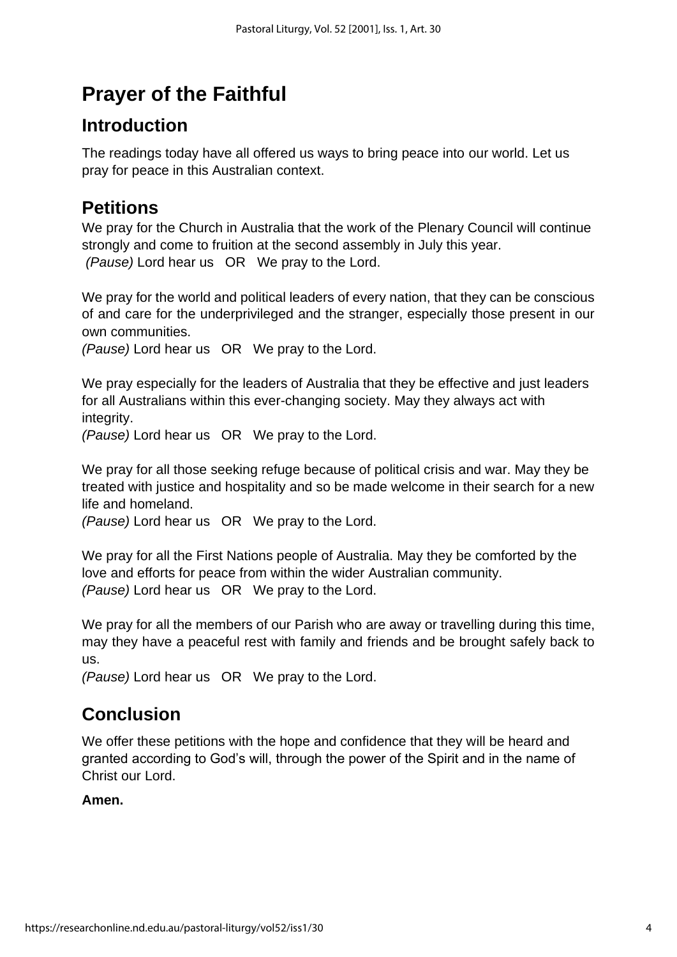## **Prayer of the Faithful**

## **Introduction**

The readings today have all offered us ways to bring peace into our world. Let us pray for peace in this Australian context.

## **Petitions**

We pray for the Church in Australia that the work of the Plenary Council will continue strongly and come to fruition at the second assembly in July this year. *(Pause)* Lord hear us OR We pray to the Lord.

We pray for the world and political leaders of every nation, that they can be conscious of and care for the underprivileged and the stranger, especially those present in our own communities.

*(Pause)* Lord hear us OR We pray to the Lord.

We pray especially for the leaders of Australia that they be effective and just leaders for all Australians within this ever-changing society. May they always act with integrity.

*(Pause)* Lord hear us OR We pray to the Lord.

We pray for all those seeking refuge because of political crisis and war. May they be treated with justice and hospitality and so be made welcome in their search for a new life and homeland.

*(Pause)* Lord hear us OR We pray to the Lord.

We pray for all the First Nations people of Australia. May they be comforted by the love and efforts for peace from within the wider Australian community. *(Pause)* Lord hear us OR We pray to the Lord.

We pray for all the members of our Parish who are away or travelling during this time, may they have a peaceful rest with family and friends and be brought safely back to us.

*(Pause)* Lord hear us OR We pray to the Lord.

## **Conclusion**

We offer these petitions with the hope and confidence that they will be heard and granted according to God's will, through the power of the Spirit and in the name of Christ our Lord.

### **Amen.**